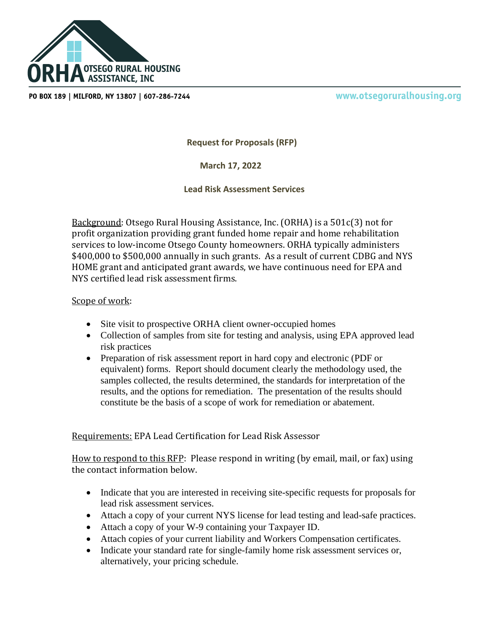

PO BOX 189 | MILFORD, NY 13807 | 607-286-7244

www.otsegoruralhousing.org

**Request for Proposals (RFP)**

 **March 17, 2022**

**Lead Risk Assessment Services**

Background: Otsego Rural Housing Assistance, Inc. (ORHA) is a 501c(3) not for profit organization providing grant funded home repair and home rehabilitation services to low-income Otsego County homeowners. ORHA typically administers \$400,000 to \$500,000 annually in such grants. As a result of current CDBG and NYS HOME grant and anticipated grant awards, we have continuous need for EPA and NYS certified lead risk assessment firms.

## Scope of work:

- Site visit to prospective ORHA client owner-occupied homes
- Collection of samples from site for testing and analysis, using EPA approved lead risk practices
- Preparation of risk assessment report in hard copy and electronic (PDF or equivalent) forms. Report should document clearly the methodology used, the samples collected, the results determined, the standards for interpretation of the results, and the options for remediation. The presentation of the results should constitute be the basis of a scope of work for remediation or abatement.

Requirements: EPA Lead Certification for Lead Risk Assessor

How to respond to this RFP: Please respond in writing (by email, mail, or fax) using the contact information below.

- Indicate that you are interested in receiving site-specific requests for proposals for lead risk assessment services.
- Attach a copy of your current NYS license for lead testing and lead-safe practices.
- Attach a copy of your W-9 containing your Taxpayer ID.
- Attach copies of your current liability and Workers Compensation certificates.
- Indicate your standard rate for single-family home risk assessment services or, alternatively, your pricing schedule.